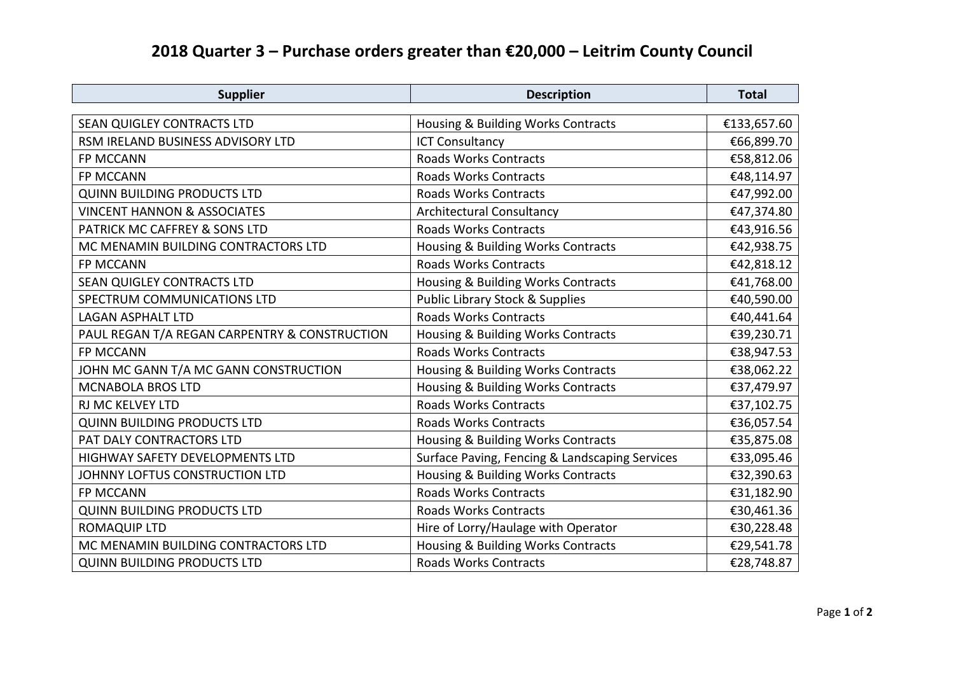## **2018 Quarter 3 – Purchase orders greater than €20,000 – Leitrim County Council**

| <b>Supplier</b>                               | <b>Description</b>                             | <b>Total</b> |
|-----------------------------------------------|------------------------------------------------|--------------|
|                                               |                                                |              |
| SEAN QUIGLEY CONTRACTS LTD                    | Housing & Building Works Contracts             | €133,657.60  |
| RSM IRELAND BUSINESS ADVISORY LTD             | <b>ICT Consultancy</b>                         | €66,899.70   |
| FP MCCANN                                     | <b>Roads Works Contracts</b>                   | €58,812.06   |
| FP MCCANN                                     | <b>Roads Works Contracts</b>                   | €48,114.97   |
| <b>QUINN BUILDING PRODUCTS LTD</b>            | <b>Roads Works Contracts</b>                   | €47,992.00   |
| <b>VINCENT HANNON &amp; ASSOCIATES</b>        | <b>Architectural Consultancy</b>               | €47,374.80   |
| PATRICK MC CAFFREY & SONS LTD                 | <b>Roads Works Contracts</b>                   | €43,916.56   |
| MC MENAMIN BUILDING CONTRACTORS LTD           | Housing & Building Works Contracts             | €42,938.75   |
| FP MCCANN                                     | <b>Roads Works Contracts</b>                   | €42,818.12   |
| SEAN QUIGLEY CONTRACTS LTD                    | Housing & Building Works Contracts             | €41,768.00   |
| SPECTRUM COMMUNICATIONS LTD                   | <b>Public Library Stock &amp; Supplies</b>     | €40,590.00   |
| <b>LAGAN ASPHALT LTD</b>                      | <b>Roads Works Contracts</b>                   | €40,441.64   |
| PAUL REGAN T/A REGAN CARPENTRY & CONSTRUCTION | Housing & Building Works Contracts             | €39,230.71   |
| FP MCCANN                                     | <b>Roads Works Contracts</b>                   | €38,947.53   |
| JOHN MC GANN T/A MC GANN CONSTRUCTION         | Housing & Building Works Contracts             | €38,062.22   |
| <b>MCNABOLA BROS LTD</b>                      | Housing & Building Works Contracts             | €37,479.97   |
| RJ MC KELVEY LTD                              | <b>Roads Works Contracts</b>                   | €37,102.75   |
| <b>QUINN BUILDING PRODUCTS LTD</b>            | <b>Roads Works Contracts</b>                   | €36,057.54   |
| PAT DALY CONTRACTORS LTD                      | Housing & Building Works Contracts             | €35,875.08   |
| HIGHWAY SAFETY DEVELOPMENTS LTD               | Surface Paving, Fencing & Landscaping Services | €33,095.46   |
| JOHNNY LOFTUS CONSTRUCTION LTD                | Housing & Building Works Contracts             | €32,390.63   |
| FP MCCANN                                     | <b>Roads Works Contracts</b>                   | €31,182.90   |
| <b>QUINN BUILDING PRODUCTS LTD</b>            | <b>Roads Works Contracts</b>                   | €30,461.36   |
| <b>ROMAQUIP LTD</b>                           | Hire of Lorry/Haulage with Operator            | €30,228.48   |
| MC MENAMIN BUILDING CONTRACTORS LTD           | Housing & Building Works Contracts             | €29,541.78   |
| <b>QUINN BUILDING PRODUCTS LTD</b>            | <b>Roads Works Contracts</b>                   | €28,748.87   |